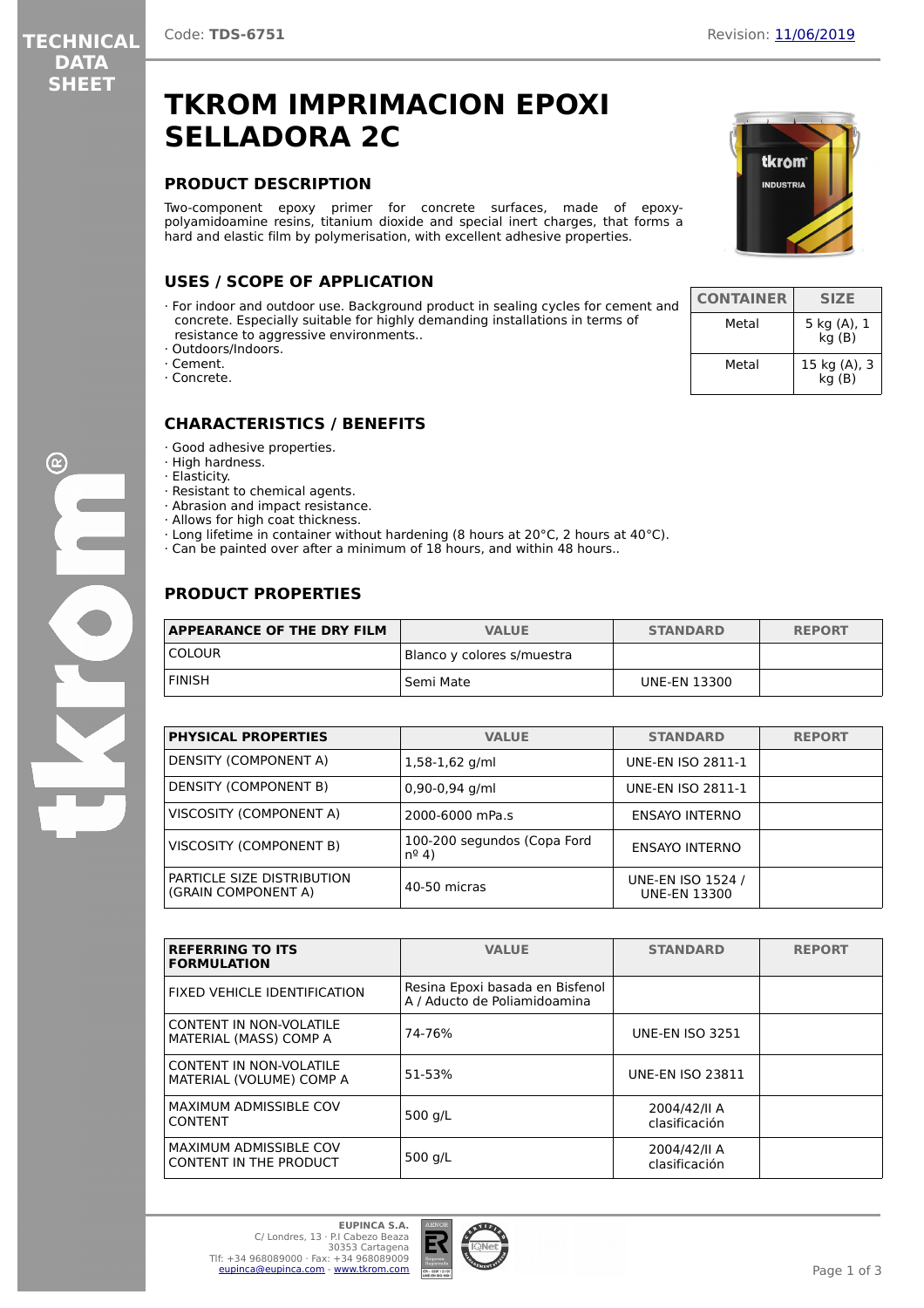**TECHNICAL DATA SHEET**

# **TKROM IMPRIMACION EPOXI SELLADORA 2C**

## **PRODUCT DESCRIPTION**

Two-component epoxy primer for concrete surfaces, made of epoxypolyamidoamine resins, titanium dioxide and special inert charges, that forms a hard and elastic film by polymerisation, with excellent adhesive properties.

# **USES / SCOPE OF APPLICATION**

- · For indoor and outdoor use. Background product in sealing cycles for cement and concrete. Especially suitable for highly demanding installations in terms of resistance to aggressive environments..
- · Outdoors/Indoors.
- · Cement.
- · Concrete.

# **CHARACTERISTICS / BENEFITS**

- · Good adhesive properties.
- · High hardness.
- · Elasticity.
- · Resistant to chemical agents.
- · Abrasion and impact resistance.
- · Allows for high coat thickness.
- · Long lifetime in container without hardening (8 hours at 20°C, 2 hours at 40°C).
- · Can be painted over after a minimum of 18 hours, and within 48 hours..

# **PRODUCT PROPERTIES**

| <b>APPEARANCE OF THE DRY FILM</b> | <b>VALUE</b>               | <b>STANDARD</b>     | <b>REPORT</b> |
|-----------------------------------|----------------------------|---------------------|---------------|
| <b>COLOUR</b>                     | Blanco y colores s/muestra |                     |               |
| <b>FINISH</b>                     | l Semi Mate                | <b>UNE-EN 13300</b> |               |

| <b>PHYSICAL PROPERTIES</b>                        | <b>VALUE</b>                                  | <b>STANDARD</b>                          | <b>REPORT</b> |
|---------------------------------------------------|-----------------------------------------------|------------------------------------------|---------------|
| DENSITY (COMPONENT A)                             | $1,58-1,62$ g/ml                              | <b>UNE-EN ISO 2811-1</b>                 |               |
| <b>DENSITY (COMPONENT B)</b>                      | $0,90-0,94$ g/ml                              | UNE-EN ISO 2811-1                        |               |
| VISCOSITY (COMPONENT A)                           | 2000-6000 mPa.s                               | ENSAYO INTERNO                           |               |
| VISCOSITY (COMPONENT B)                           | 100-200 segundos (Copa Ford<br>$n^{\circ}$ 4) | ENSAYO INTERNO                           |               |
| PARTICLE SIZE DISTRIBUTION<br>(GRAIN COMPONENT A) | 40-50 micras                                  | UNE-EN ISO 1524 /<br><b>UNE-EN 13300</b> |               |

| <b>REFERRING TO ITS</b><br><b>FORMULATION</b>                  | <b>VALUE</b>                                                    | <b>STANDARD</b>               | <b>REPORT</b> |
|----------------------------------------------------------------|-----------------------------------------------------------------|-------------------------------|---------------|
| FIXED VEHICLE IDENTIFICATION                                   | Resina Epoxi basada en Bisfenol<br>A / Aducto de Poliamidoamina |                               |               |
| CONTENT IN NON-VOLATILE<br>MATERIAL (MASS) COMP A              | 74-76%                                                          | <b>UNE-EN ISO 3251</b>        |               |
| CONTENT IN NON-VOLATILE<br>MATERIAL (VOLUME) COMP A            | 51-53%                                                          | <b>UNE-EN ISO 23811</b>       |               |
| <b>MAXIMUM ADMISSIBLE COV</b><br><b>CONTENT</b>                | 500 g/L                                                         | 2004/42/II A<br>clasificación |               |
| <b>MAXIMUM ADMISSIBLE COV</b><br><b>CONTENT IN THE PRODUCT</b> | 500 $q/L$                                                       | 2004/42/II A<br>clasificación |               |



| <b>CONTAINER</b> | <b>SIZE</b>           |
|------------------|-----------------------|
| Metal            | 5 kg (A), 1<br>kg(B)  |
| Metal            | 15 kg (A), 3<br>kq(B) |

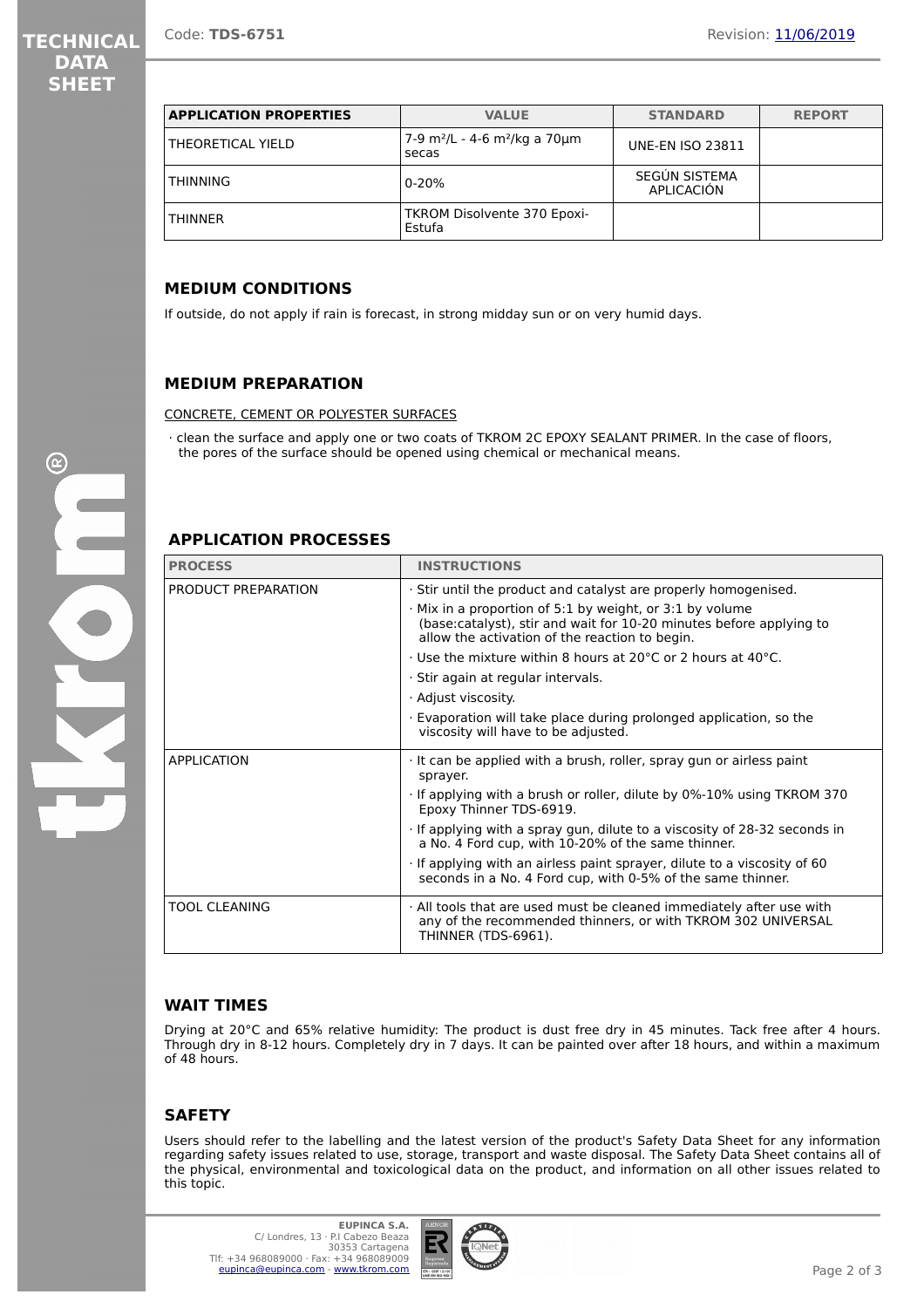| <b>DATA</b> |  |
|-------------|--|
| SHEET       |  |

| <b>APPLICATION PROPERTIES</b> | <b>VALUE</b>                                                   | <b>STANDARD</b>             | <b>REPORT</b> |
|-------------------------------|----------------------------------------------------------------|-----------------------------|---------------|
| THEORETICAL YIELD             | 7-9 m <sup>2</sup> /L - 4-6 m <sup>2</sup> /kg a 70µm<br>secas | <b>UNE-EN ISO 23811</b>     |               |
| THINNING                      | $0 - 20%$                                                      | SEGÚN SISTEMA<br>APLICACIÓN |               |
| <b>THINNER</b>                | TKROM Disolvente 370 Epoxi-<br>Estufa                          |                             |               |

#### **MEDIUM CONDITIONS**

If outside, do not apply if rain is forecast, in strong midday sun or on very humid days.

#### **MEDIUM PREPARATION**

CONCRETE, CEMENT OR POLYESTER SURFACES

· clean the surface and apply one or two coats of TKROM 2C EPOXY SEALANT PRIMER. In the case of floors, the pores of the surface should be opened using chemical or mechanical means.

#### **APPLICATION PROCESSES**

| <b>PROCESS</b>       | <b>INSTRUCTIONS</b>                                                                                                                                                                                                                                        |  |
|----------------------|------------------------------------------------------------------------------------------------------------------------------------------------------------------------------------------------------------------------------------------------------------|--|
| PRODUCT PREPARATION  | . Stir until the product and catalyst are properly homogenised.<br>$\cdot$ Mix in a proportion of 5:1 by weight, or 3:1 by volume<br>(base:catalyst), stir and wait for 10-20 minutes before applying to<br>allow the activation of the reaction to begin. |  |
|                      |                                                                                                                                                                                                                                                            |  |
|                      | $\cdot$ Use the mixture within 8 hours at 20 $\degree$ C or 2 hours at 40 $\degree$ C.                                                                                                                                                                     |  |
|                      | · Stir again at regular intervals.                                                                                                                                                                                                                         |  |
|                      | · Adjust viscosity.                                                                                                                                                                                                                                        |  |
|                      | Evaporation will take place during prolonged application, so the<br>viscosity will have to be adjusted.                                                                                                                                                    |  |
| <b>APPLICATION</b>   | It can be applied with a brush, roller, spray gun or airless paint<br>sprayer.                                                                                                                                                                             |  |
|                      | If applying with a brush or roller, dilute by 0%-10% using TKROM 370<br>Epoxy Thinner TDS-6919.                                                                                                                                                            |  |
|                      | If applying with a spray gun, dilute to a viscosity of 28-32 seconds in<br>a No. 4 Ford cup, with 10-20% of the same thinner.                                                                                                                              |  |
|                      | · If applying with an airless paint sprayer, dilute to a viscosity of 60<br>seconds in a No. 4 Ford cup, with 0-5% of the same thinner.                                                                                                                    |  |
| <b>TOOL CLEANING</b> | . All tools that are used must be cleaned immediately after use with<br>any of the recommended thinners, or with TKROM 302 UNIVERSAL<br>THINNER (TDS-6961).                                                                                                |  |

## **WAIT TIMES**

Drying at 20°C and 65% relative humidity: The product is dust free dry in 45 minutes. Tack free after 4 hours. Through dry in 8-12 hours. Completely dry in 7 days. It can be painted over after 18 hours, and within a maximum of 48 hours.

## **SAFETY**

Users should refer to the labelling and the latest version of the product's Safety Data Sheet for any information regarding safety issues related to use, storage, transport and waste disposal. The Safety Data Sheet contains all of the physical, environmental and toxicological data on the product, and information on all other issues related to this topic.

 $\mathbf{C}$